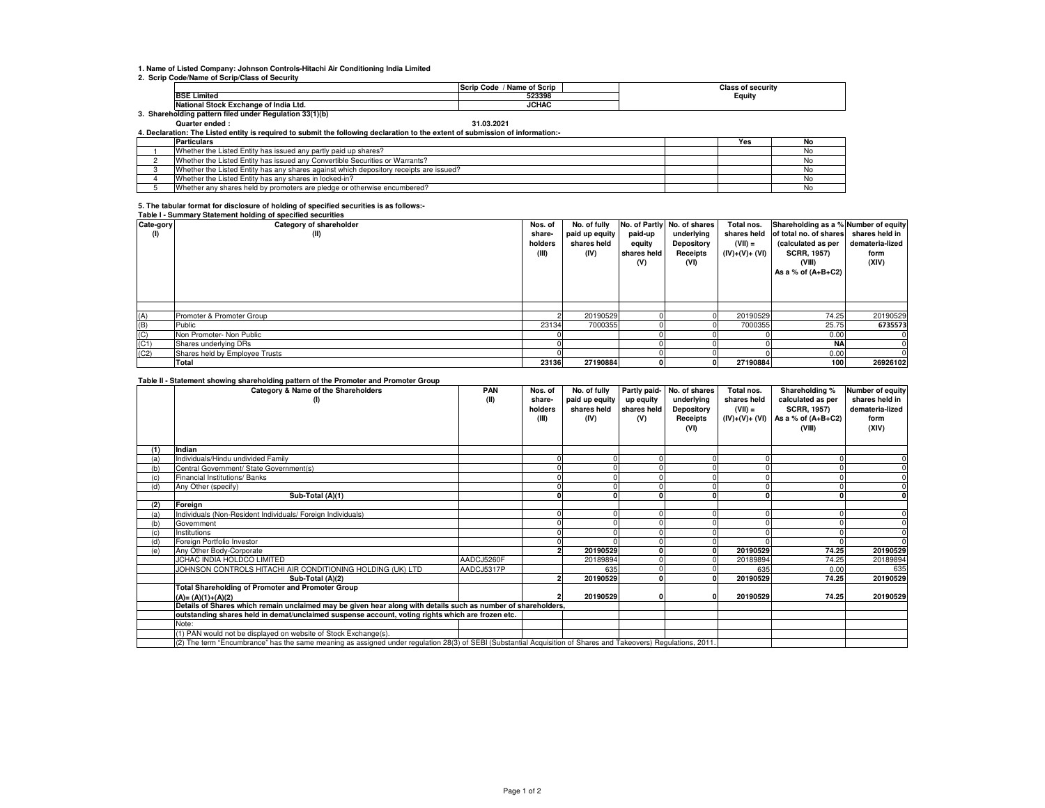### **1. Name of Listed Company: Johnson Controls-Hitachi Air Conditioning India Limited**

#### **2. Scrip Code/Name of Scrip/Class of Security**

|                                                      |                                                 | <b>Name of Scrip</b><br>lScr<br>ode;<br>IVc |  | f securitv |  |  |  |  |  |
|------------------------------------------------------|-------------------------------------------------|---------------------------------------------|--|------------|--|--|--|--|--|
|                                                      | <b>BSE Limited</b>                              | 523398                                      |  | Equity     |  |  |  |  |  |
|                                                      | .l Stock Exchange of India Ltd.<br>.Natı<br>ona | <b>JCHAC</b>                                |  |            |  |  |  |  |  |
| Shareholding pattern filed under Regulation 33(1)(b) |                                                 |                                             |  |            |  |  |  |  |  |

## **Quarter ended : 31.03.2021**

**4. Declaration: The Listed entity is required to submit the following declaration to the extent of submission of information:-**

| <b>Particulars</b>                                                                     | Yes | No  |
|----------------------------------------------------------------------------------------|-----|-----|
| Whether the Listed Entity has issued any partly paid up shares?                        |     |     |
| Whether the Listed Entity has issued any Convertible Securities or Warrants?           |     |     |
| Whether the Listed Entity has any shares against which depository receipts are issued? |     |     |
| Whether the Listed Entity has any shares in locked-in?                                 |     |     |
| Whether any shares held by promoters are pledge or otherwise encumbered?               |     | NO. |

# **5. The tabular format for disclosure of holding of specified securities is as follows:- Table I - Summary Statement holding of specified securities**

| Cate-gory | rapic resultation y otatomont noiaing or specified securities<br>Category of shareholder | Nos. of                    | No. of fully                          |                                         | No. of Partly No. of shares                  | Total nos.                                 | Shareholding as a % Number of equity                                                                 |                                                    |
|-----------|------------------------------------------------------------------------------------------|----------------------------|---------------------------------------|-----------------------------------------|----------------------------------------------|--------------------------------------------|------------------------------------------------------------------------------------------------------|----------------------------------------------------|
| (1)       | (II)                                                                                     | share-<br>holders<br>(III) | paid up equity<br>shares held<br>(IV) | paid-up<br>equity<br>shares held<br>(V) | underlying<br>Depository<br>Receipts<br>(VI) | shares held<br>$(VII) =$<br>$(IV)+(V)+(V)$ | of total no. of shares<br>(calculated as per<br><b>SCRR, 1957)</b><br>(VIII)<br>As a % of $(A+B+C2)$ | shares held in<br>demateria-lized<br>form<br>(XIV) |
|           |                                                                                          |                            |                                       |                                         |                                              |                                            |                                                                                                      |                                                    |
| (A)       | Promoter & Promoter Group                                                                |                            | 20190529                              |                                         |                                              | 20190529                                   | 74.25                                                                                                | 20190529                                           |
| (B)       | Public                                                                                   | 23134                      | 7000355                               |                                         |                                              | 7000355                                    | 25.75                                                                                                | 6735573                                            |
| (C)       | Non Promoter- Non Public                                                                 |                            |                                       |                                         |                                              |                                            | 0.00                                                                                                 | $^{\prime}$                                        |
| (C1)      | Shares underlying DRs                                                                    |                            |                                       |                                         |                                              |                                            | <b>NA</b>                                                                                            |                                                    |
| (C2)      | Shares held by Employee Trusts                                                           |                            |                                       |                                         |                                              |                                            | 0.00                                                                                                 |                                                    |
|           | Total                                                                                    | 23136                      | 27190884                              |                                         | 0                                            | 27190884                                   | 100 <sub>1</sub>                                                                                     | 26926102                                           |

#### **Table II - Statement showing shareholding pattern of the Promoter and Promoter Group**

|     | and a procession of the main of contraring pattern of the required and required an outp<br>Category & Name of the Shareholders<br>(1)                           | PAN<br>(II) | Nos. of<br>share-<br>holders | No. of fully<br>paid up equity<br>shares held | up equity<br>shares held | Partly paid- No. of shares<br>underlying<br>Depository | Total nos.<br>shares held<br>$(VII) =$ | Shareholding %<br>calculated as per<br><b>SCRR, 1957)</b> | Number of equity<br>shares held in<br>demateria-lized |
|-----|-----------------------------------------------------------------------------------------------------------------------------------------------------------------|-------------|------------------------------|-----------------------------------------------|--------------------------|--------------------------------------------------------|----------------------------------------|-----------------------------------------------------------|-------------------------------------------------------|
|     |                                                                                                                                                                 |             | (III)                        | (IV)                                          | (V)                      | Receipts<br>(VI)                                       | (IV)+(V)+ (VI)                         | As a % of $(A+B+C2)$<br>(VIII)                            | form<br>(XIV)                                         |
|     | Indian                                                                                                                                                          |             |                              |                                               |                          |                                                        |                                        |                                                           |                                                       |
| (a) | Individuals/Hindu undivided Family                                                                                                                              |             |                              |                                               |                          |                                                        |                                        |                                                           |                                                       |
| (b) | Central Government/ State Government(s)                                                                                                                         |             |                              |                                               |                          |                                                        |                                        |                                                           |                                                       |
|     | Financial Institutions/ Banks                                                                                                                                   |             |                              |                                               |                          |                                                        |                                        |                                                           |                                                       |
| (d) | Any Other (specify)                                                                                                                                             |             |                              |                                               |                          |                                                        |                                        |                                                           |                                                       |
|     | Sub-Total (A)(1)                                                                                                                                                |             |                              |                                               |                          |                                                        |                                        |                                                           |                                                       |
| (2) | Foreian                                                                                                                                                         |             |                              |                                               |                          |                                                        |                                        |                                                           |                                                       |
| (a) | Individuals (Non-Resident Individuals/ Foreign Individuals)                                                                                                     |             |                              |                                               |                          |                                                        |                                        |                                                           |                                                       |
| (b) | Government                                                                                                                                                      |             |                              |                                               |                          |                                                        |                                        |                                                           |                                                       |
| (c) | Institutions                                                                                                                                                    |             |                              |                                               |                          |                                                        |                                        |                                                           |                                                       |
| (d) | Foreign Portfolio Investor                                                                                                                                      |             |                              |                                               |                          |                                                        |                                        |                                                           |                                                       |
| (e) | Any Other Body-Corporate                                                                                                                                        |             |                              | 20190529                                      |                          |                                                        | 20190529                               | 74.25                                                     | 20190529                                              |
|     | JCHAC INDIA HOLDCO LIMITED                                                                                                                                      | AADCJ5260F  |                              | 20189894                                      |                          |                                                        | 20189894                               | 74.25                                                     | 20189894                                              |
|     | JOHNSON CONTROLS HITACHI AIR CONDITIONING HOLDING (UK) LTD                                                                                                      | AADCJ5317P  |                              | 635                                           |                          |                                                        | 635                                    | 0.00                                                      | 635                                                   |
|     | Sub-Total (A)(2)                                                                                                                                                |             |                              | 20190529                                      |                          |                                                        | 20190529                               | 74.25                                                     | 20190529                                              |
|     | <b>Total Shareholding of Promoter and Promoter Group</b>                                                                                                        |             |                              |                                               |                          |                                                        |                                        |                                                           |                                                       |
|     | $(A) = (A)(1)+(A)(2)$                                                                                                                                           |             |                              | 20190529                                      |                          |                                                        | 20190529                               | 74.25                                                     | 20190529                                              |
|     | Details of Shares which remain unclaimed may be given hear along with details such as number of shareholders,                                                   |             |                              |                                               |                          |                                                        |                                        |                                                           |                                                       |
|     | outstanding shares held in demat/unclaimed suspense account, voting rights which are frozen etc.                                                                |             |                              |                                               |                          |                                                        |                                        |                                                           |                                                       |
|     | Note:                                                                                                                                                           |             |                              |                                               |                          |                                                        |                                        |                                                           |                                                       |
|     | (1) PAN would not be displayed on website of Stock Exchange(s).                                                                                                 |             |                              |                                               |                          |                                                        |                                        |                                                           |                                                       |
|     | (2) The term "Encumbrance" has the same meaning as assigned under regulation 28(3) of SEBI (Substantial Acquisition of Shares and Takeovers) Regulations, 2011. |             |                              |                                               |                          |                                                        |                                        |                                                           |                                                       |